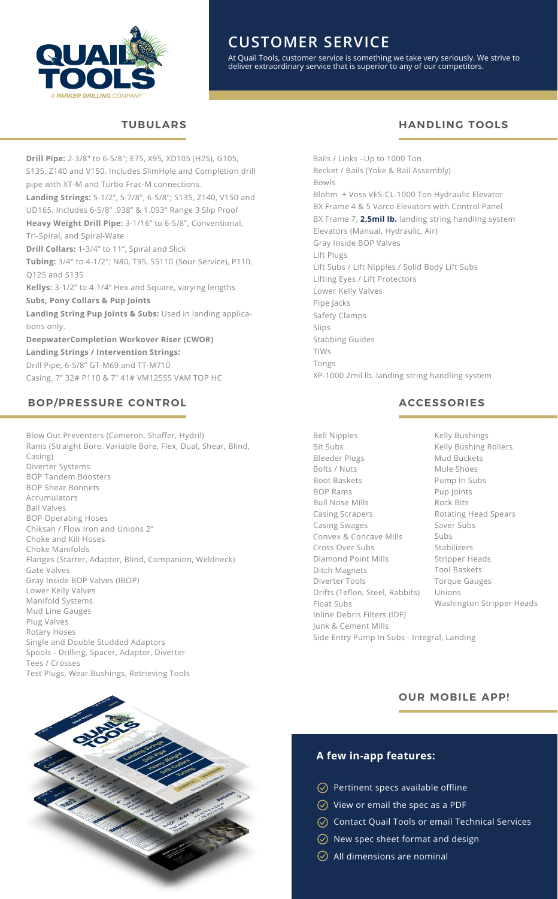

# **CUSTOMER SERVICE**

At Quail Tools, customer service is something we take very seriously. We strive to deliver extraordinary service that is superior to any of our competitors.

## **TUBULARS HANDLING TOOLS**

**Drill Pipe:** 2-3/8" to 6-5/8"; E75, X95, XD105 (H2S), G105, S135, Z140 and V150. Includes SlimHole and Completion drill pipe with XT-M and Turbo Frac-M connections. **Landing Strings:** 5-1/2", 5-7/8", 6-5/8"; S135, Z140, V150 and UD165. Includes 6-5/8" .938" & 1.093" Range 3 Slip Proof **Heavy Weight Drill Pipe:** 3-1/16" to 6-5/8", Conventional, Tri-Spiral, and Spiral-Wate **Drill Collars:** 1-3/4" to 11", Spiral and Slick **Tubing:** 3/4" to 4-1/2"; N80, T95, SS110 (Sour Service), P110, Q125 and S135 **Kellys:** 3-1/2" to 4-1/4" Hex and Square, varying lengths **Subs, Pony Collars & Pup Joints Landing String Pup Joints & Subs:** Used in landing applications only. **DeepwaterCompletion Workover Riser (CWOR) Landing Strings / Intervention Strings:** Drill Pipe, 6-5/8" GT-M69 and TT-M710 Casing, 7" 32# P110 & 7" 41# VM125SS VAM TOP HC

## **BOP/PRESSURE CONTROL**

Blow Out Preventers (Cameron, Shaffer, Hydril) Rams (Straight Bore, Variable Bore, Flex, Dual, Shear, Blind, Casing) Diverter Systems BOP Tandem Boosters BOP Shear Bonnets Accumulators Ball Valves BOP Operating Hoses Chiksan / Flow Iron and Unions 2" Choke and Kill Hoses Choke Manifolds Flanges (Starter, Adapter, Blind, Companion, Weldneck) Gate Valves Gray Inside BOP Valves (IBOP) Lower Kelly Valves Manifold Systems Mud Line Gauges Plug Valves Rotary Hoses Single and Double Studded Adaptors Spools - Drilling, Spacer, Adaptor, Diverter Tees / Crosses Test Plugs, Wear Bushings, Retrieving Tools



Bails / Links –Up to 1000 Ton Becket / Bails (Yoke & Bail Assembly) Bowls Blohm + Voss VES-CL-1000 Ton Hydraulic Elevator BX Frame 4 & 5 Varco Elevators with Control Panel BX Frame 7, **2.5mil lb.** landing string handling system Elevators (Manual, Hydraulic, Air) Gray Inside BOP Valves Lift Plugs Lift Subs / Lift Nipples / Solid Body Lift Subs Lifting Eyes / Lift Protectors Lower Kelly Valves Pipe Jacks Safety Clamps Slips Stabbing Guides TIWs Tongs XP-1000 2mil lb. landing string handling system

#### **ACCESSORIES**

Bell Nipples Bit Subs Bleeder Plugs Bolts / Nuts Boot Baskets BOP Rams Bull Nose Mills Casing Scrapers Casing Swages Convex & Concave Mills Cross Over Subs Diamond Point Mills Ditch Magnets Diverter Tools Drifts (Teflon, Steel, Rabbits) Float Subs Inline Debris Filters (IDF) Junk & Cement Mills Side Entry Pump In Subs - Integral, Landing

Kelly Bushings Kelly Bushing Rollers Mud Buckets Mule Shoes Pump In Subs Pup Joints Rock Bits Rotating Head Spears Saver Subs Subs Stabilizers Stripper Heads Tool Baskets Torque Gauges Unions Washington Stripper Heads

#### **OUR MOBILE APP!**

## **A few in-app features:**

- $\oslash$  Pertinent specs available offline
- $\oslash$  View or email the spec as a PDF
- $\oslash$  Contact Quail Tools or email Technical Services
- $\oslash$  New spec sheet format and design
- $\oslash$  All dimensions are nominal